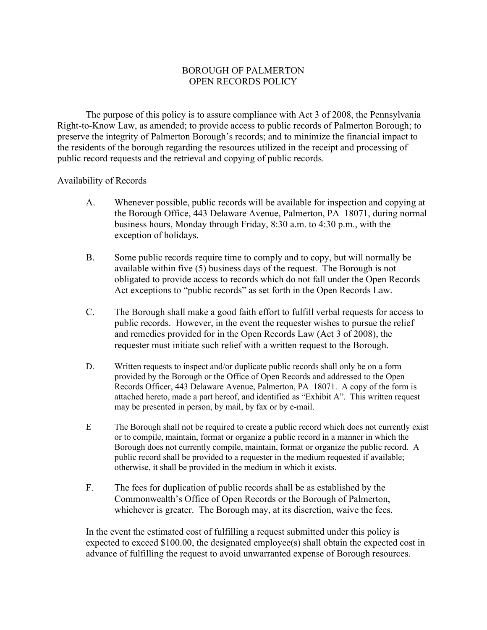## BOROUGH OF PALMERTON OPEN RECORDS POLICY

 The purpose of this policy is to assure compliance with Act 3 of 2008, the Pennsylvania Right-to-Know Law, as amended; to provide access to public records of Palmerton Borough; to preserve the integrity of Palmerton Borough's records; and to minimize the financial impact to the residents of the borough regarding the resources utilized in the receipt and processing of public record requests and the retrieval and copying of public records.

### Availability of Records

- A. Whenever possible, public records will be available for inspection and copying at the Borough Office, 443 Delaware Avenue, Palmerton, PA 18071, during normal business hours, Monday through Friday, 8:30 a.m. to 4:30 p.m., with the exception of holidays.
- B. Some public records require time to comply and to copy, but will normally be available within five (5) business days of the request. The Borough is not obligated to provide access to records which do not fall under the Open Records Act exceptions to "public records" as set forth in the Open Records Law.
- C. The Borough shall make a good faith effort to fulfill verbal requests for access to public records. However, in the event the requester wishes to pursue the relief and remedies provided for in the Open Records Law (Act 3 of 2008), the requester must initiate such relief with a written request to the Borough.
- D. Written requests to inspect and/or duplicate public records shall only be on a form provided by the Borough or the Office of Open Records and addressed to the Open Records Officer, 443 Delaware Avenue, Palmerton, PA 18071. A copy of the form is attached hereto, made a part hereof, and identified as "Exhibit A". This written request may be presented in person, by mail, by fax or by e-mail.
- E The Borough shall not be required to create a public record which does not currently exist or to compile, maintain, format or organize a public record in a manner in which the Borough does not currently compile, maintain, format or organize the public record. A public record shall be provided to a requester in the medium requested if available; otherwise, it shall be provided in the medium in which it exists.
- F. The fees for duplication of public records shall be as established by the Commonwealth's Office of Open Records or the Borough of Palmerton, whichever is greater. The Borough may, at its discretion, waive the fees.

 In the event the estimated cost of fulfilling a request submitted under this policy is expected to exceed \$100.00, the designated employee(s) shall obtain the expected cost in advance of fulfilling the request to avoid unwarranted expense of Borough resources.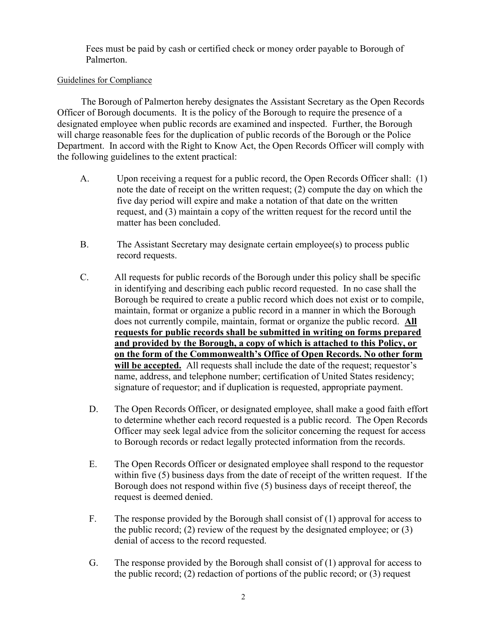Fees must be paid by cash or certified check or money order payable to Borough of Palmerton.

#### Guidelines for Compliance

 The Borough of Palmerton hereby designates the Assistant Secretary as the Open Records Officer of Borough documents. It is the policy of the Borough to require the presence of a designated employee when public records are examined and inspected. Further, the Borough will charge reasonable fees for the duplication of public records of the Borough or the Police Department. In accord with the Right to Know Act, the Open Records Officer will comply with the following guidelines to the extent practical:

- A. Upon receiving a request for a public record, the Open Records Officer shall: (1) note the date of receipt on the written request; (2) compute the day on which the five day period will expire and make a notation of that date on the written request, and (3) maintain a copy of the written request for the record until the matter has been concluded.
- B. The Assistant Secretary may designate certain employee(s) to process public record requests.
- C. All requests for public records of the Borough under this policy shall be specific in identifying and describing each public record requested. In no case shall the Borough be required to create a public record which does not exist or to compile, maintain, format or organize a public record in a manner in which the Borough does not currently compile, maintain, format or organize the public record. All requests for public records shall be submitted in writing on forms prepared and provided by the Borough, a copy of which is attached to this Policy, or on the form of the Commonwealth's Office of Open Records. No other form will be accepted. All requests shall include the date of the request; requestor's name, address, and telephone number; certification of United States residency; signature of requestor; and if duplication is requested, appropriate payment.
	- D. The Open Records Officer, or designated employee, shall make a good faith effort to determine whether each record requested is a public record. The Open Records Officer may seek legal advice from the solicitor concerning the request for access to Borough records or redact legally protected information from the records.
	- E. The Open Records Officer or designated employee shall respond to the requestor within five (5) business days from the date of receipt of the written request. If the Borough does not respond within five (5) business days of receipt thereof, the request is deemed denied.
	- F. The response provided by the Borough shall consist of (1) approval for access to the public record; (2) review of the request by the designated employee; or  $(3)$ denial of access to the record requested.
	- G. The response provided by the Borough shall consist of (1) approval for access to the public record; (2) redaction of portions of the public record; or (3) request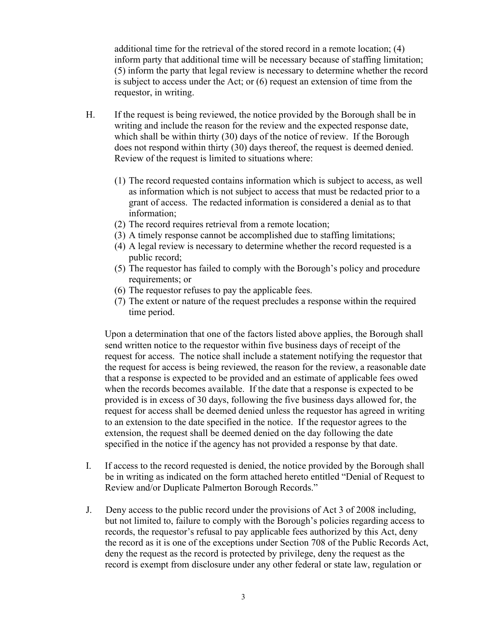additional time for the retrieval of the stored record in a remote location; (4) inform party that additional time will be necessary because of staffing limitation; (5) inform the party that legal review is necessary to determine whether the record is subject to access under the Act; or (6) request an extension of time from the requestor, in writing.

- H. If the request is being reviewed, the notice provided by the Borough shall be in writing and include the reason for the review and the expected response date, which shall be within thirty (30) days of the notice of review. If the Borough does not respond within thirty (30) days thereof, the request is deemed denied. Review of the request is limited to situations where:
	- (1) The record requested contains information which is subject to access, as well as information which is not subject to access that must be redacted prior to a grant of access. The redacted information is considered a denial as to that information;
	- (2) The record requires retrieval from a remote location;
	- (3) A timely response cannot be accomplished due to staffing limitations;
	- (4) A legal review is necessary to determine whether the record requested is a public record;
	- (5) The requestor has failed to comply with the Borough's policy and procedure requirements; or
	- (6) The requestor refuses to pay the applicable fees.
	- (7) The extent or nature of the request precludes a response within the required time period.

 Upon a determination that one of the factors listed above applies, the Borough shall send written notice to the requestor within five business days of receipt of the request for access. The notice shall include a statement notifying the requestor that the request for access is being reviewed, the reason for the review, a reasonable date that a response is expected to be provided and an estimate of applicable fees owed when the records becomes available. If the date that a response is expected to be provided is in excess of 30 days, following the five business days allowed for, the request for access shall be deemed denied unless the requestor has agreed in writing to an extension to the date specified in the notice. If the requestor agrees to the extension, the request shall be deemed denied on the day following the date specified in the notice if the agency has not provided a response by that date.

- I. If access to the record requested is denied, the notice provided by the Borough shall be in writing as indicated on the form attached hereto entitled "Denial of Request to Review and/or Duplicate Palmerton Borough Records."
- J. Deny access to the public record under the provisions of Act 3 of 2008 including, but not limited to, failure to comply with the Borough's policies regarding access to records, the requestor's refusal to pay applicable fees authorized by this Act, deny the record as it is one of the exceptions under Section 708 of the Public Records Act, deny the request as the record is protected by privilege, deny the request as the record is exempt from disclosure under any other federal or state law, regulation or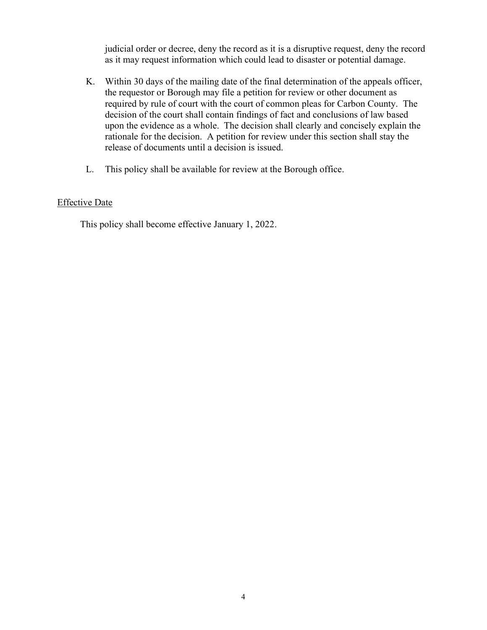judicial order or decree, deny the record as it is a disruptive request, deny the record as it may request information which could lead to disaster or potential damage.

- K. Within 30 days of the mailing date of the final determination of the appeals officer, the requestor or Borough may file a petition for review or other document as required by rule of court with the court of common pleas for Carbon County. The decision of the court shall contain findings of fact and conclusions of law based upon the evidence as a whole. The decision shall clearly and concisely explain the rationale for the decision. A petition for review under this section shall stay the release of documents until a decision is issued.
- L. This policy shall be available for review at the Borough office.

## Effective Date

This policy shall become effective January 1, 2022.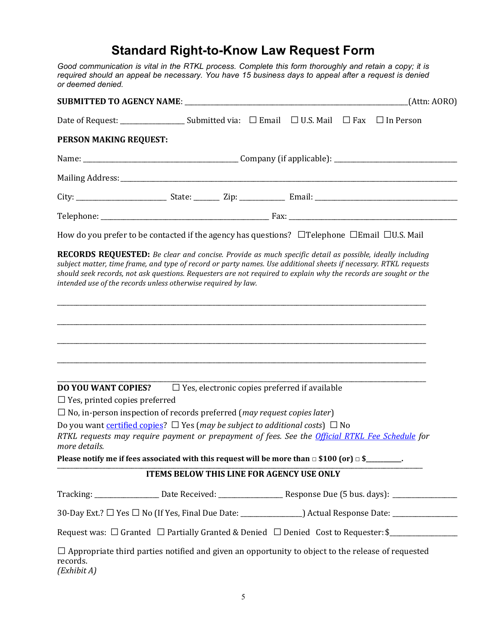# Standard Right-to-Know Law Request Form

 Good communication is vital in the RTKL process. Complete this form thoroughly and retain a copy; it is required should an appeal be necessary. You have 15 business days to appeal after a request is denied or deemed denied.

|                                                             |                                                                                                                                                                                                                                                                                                                                                                                                                         |  | (Attn: AORO) |
|-------------------------------------------------------------|-------------------------------------------------------------------------------------------------------------------------------------------------------------------------------------------------------------------------------------------------------------------------------------------------------------------------------------------------------------------------------------------------------------------------|--|--------------|
|                                                             |                                                                                                                                                                                                                                                                                                                                                                                                                         |  |              |
| PERSON MAKING REQUEST:                                      |                                                                                                                                                                                                                                                                                                                                                                                                                         |  |              |
|                                                             |                                                                                                                                                                                                                                                                                                                                                                                                                         |  |              |
|                                                             |                                                                                                                                                                                                                                                                                                                                                                                                                         |  |              |
|                                                             |                                                                                                                                                                                                                                                                                                                                                                                                                         |  |              |
|                                                             |                                                                                                                                                                                                                                                                                                                                                                                                                         |  |              |
|                                                             | How do you prefer to be contacted if the agency has questions? $\Box$ Telephone $\Box$ Email $\Box$ U.S. Mail                                                                                                                                                                                                                                                                                                           |  |              |
|                                                             | <b>RECORDS REQUESTED:</b> Be clear and concise. Provide as much specific detail as possible, ideally including<br>subject matter, time frame, and type of record or party names. Use additional sheets if necessary. RTKL requests<br>should seek records, not ask questions. Requesters are not required to explain why the records are sought or the<br>intended use of the records unless otherwise required by law. |  |              |
| DO YOU WANT COPIES?<br>$\Box$ Yes, printed copies preferred | ,我们也不会有什么。""我们的人,我们也不会有什么?""我们的人,我们也不会有什么?""我们的人,我们也不会有什么?""我们的人,我们也不会有什么?""我们的人<br>$\square$ Yes, electronic copies preferred if available                                                                                                                                                                                                                                                                             |  |              |
|                                                             | $\Box$ No, in-person inspection of records preferred ( <i>may request copies later</i> )                                                                                                                                                                                                                                                                                                                                |  |              |
| more details.                                               | Do you want certified copies? $\Box$ Yes (may be subject to additional costs) $\Box$ No<br>RTKL requests may require payment or prepayment of fees. See the <i>Official RTKL Fee Schedule</i> for                                                                                                                                                                                                                       |  |              |
|                                                             | Please notify me if fees associated with this request will be more than $\Box$ \$100 (or) $\Box$ \$_________.                                                                                                                                                                                                                                                                                                           |  |              |
|                                                             | ITEMS BELOW THIS LINE FOR AGENCY USE ONLY                                                                                                                                                                                                                                                                                                                                                                               |  |              |
|                                                             | Tracking: ___________________Date Received: __________________________Response Due (5 bus. days): _______________                                                                                                                                                                                                                                                                                                       |  |              |
|                                                             | 30-Day Ext.? □ Yes □ No (If Yes, Final Due Date: _______________________________ Actual Response Date: ______________                                                                                                                                                                                                                                                                                                   |  |              |
|                                                             | Request was: $\Box$ Granted $\Box$ Partially Granted & Denied $\Box$ Denied Cost to Requester: \$                                                                                                                                                                                                                                                                                                                       |  |              |
| records.                                                    | $\Box$ Appropriate third parties notified and given an opportunity to object to the release of requested                                                                                                                                                                                                                                                                                                                |  |              |

(Exhibit A)